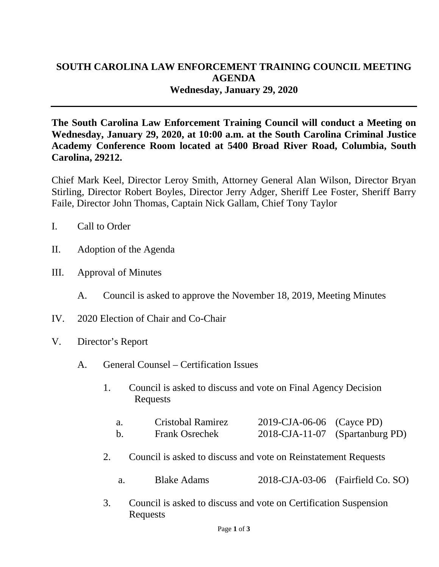## **SOUTH CAROLINA LAW ENFORCEMENT TRAINING COUNCIL MEETING AGENDA Wednesday, January 29, 2020**

**The South Carolina Law Enforcement Training Council will conduct a Meeting on Wednesday, January 29, 2020, at 10:00 a.m. at the South Carolina Criminal Justice Academy Conference Room located at 5400 Broad River Road, Columbia, South Carolina, 29212.** 

Chief Mark Keel, Director Leroy Smith, Attorney General Alan Wilson, Director Bryan Stirling, Director Robert Boyles, Director Jerry Adger, Sheriff Lee Foster, Sheriff Barry Faile, Director John Thomas, Captain Nick Gallam, Chief Tony Taylor

- I. Call to Order
- II. Adoption of the Agenda
- III. Approval of Minutes
	- A. Council is asked to approve the November 18, 2019, Meeting Minutes
- IV. 2020 Election of Chair and Co-Chair
- V. Director's Report
	- A. General Counsel Certification Issues
		- 1. Council is asked to discuss and vote on Final Agency Decision Requests

| -a. | Cristobal Ramirez     | 2019-CJA-06-06 (Cayce PD) |                                 |
|-----|-----------------------|---------------------------|---------------------------------|
| b.  | <b>Frank Osrechek</b> |                           | 2018-CJA-11-07 (Spartanburg PD) |

- 2. Council is asked to discuss and vote on Reinstatement Requests
	- a. Blake Adams 2018-CJA-03-06 (Fairfield Co. SO)
- 3. Council is asked to discuss and vote on Certification Suspension Requests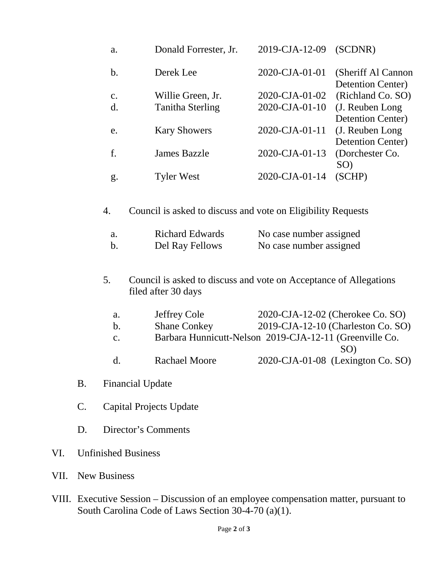|      |           | a.                                                                 | Donald Forrester, Jr.                                                                         | 2019-CJA-12-09          | (SCDNR)                                  |  |  |  |
|------|-----------|--------------------------------------------------------------------|-----------------------------------------------------------------------------------------------|-------------------------|------------------------------------------|--|--|--|
|      |           | $\mathbf b$ .                                                      | Derek Lee                                                                                     | 2020-CJA-01-01          | (Sheriff Al Cannon)<br>Detention Center) |  |  |  |
|      |           | $\mathbf{c}$ .                                                     | Willie Green, Jr.                                                                             | 2020-CJA-01-02          | (Richland Co. SO)                        |  |  |  |
|      |           | d.                                                                 | <b>Tanitha Sterling</b>                                                                       | 2020-CJA-01-10          | (J. Reuben Long                          |  |  |  |
|      |           |                                                                    |                                                                                               |                         | Detention Center)                        |  |  |  |
|      |           | e.                                                                 | <b>Kary Showers</b>                                                                           | 2020-CJA-01-11          | (J. Reuben Long)                         |  |  |  |
|      |           |                                                                    |                                                                                               |                         | <b>Detention Center)</b>                 |  |  |  |
|      |           | f.                                                                 | <b>James Bazzle</b>                                                                           | 2020-CJA-01-13          | (Dorchester Co.                          |  |  |  |
|      |           |                                                                    |                                                                                               |                         | SO)                                      |  |  |  |
|      |           | g.                                                                 | <b>Tyler West</b>                                                                             | 2020-CJA-01-14          | (SCHP)                                   |  |  |  |
|      |           |                                                                    |                                                                                               |                         |                                          |  |  |  |
|      |           | 4.<br>Council is asked to discuss and vote on Eligibility Requests |                                                                                               |                         |                                          |  |  |  |
|      |           |                                                                    |                                                                                               |                         |                                          |  |  |  |
|      |           | a.                                                                 | <b>Richard Edwards</b>                                                                        | No case number assigned |                                          |  |  |  |
|      |           | $\mathbf b$ .                                                      | Del Ray Fellows                                                                               | No case number assigned |                                          |  |  |  |
|      |           |                                                                    |                                                                                               |                         |                                          |  |  |  |
|      |           | 5.                                                                 | Council is asked to discuss and vote on Acceptance of Allegations<br>filed after 30 days      |                         |                                          |  |  |  |
|      |           | a.                                                                 | Jeffrey Cole                                                                                  |                         | 2020-CJA-12-02 (Cherokee Co. SO)         |  |  |  |
|      |           | b.                                                                 | Shane Conkey                                                                                  |                         |                                          |  |  |  |
|      |           | $C_{\bullet}$                                                      | 2019-CJA-12-10 (Charleston Co. SO)<br>Barbara Hunnicutt-Nelson 2019-CJA-12-11 (Greenville Co. |                         |                                          |  |  |  |
|      |           | SO)                                                                |                                                                                               |                         |                                          |  |  |  |
|      |           | $\rm d$ .                                                          | <b>Rachael Moore</b>                                                                          |                         | 2020-CJA-01-08 (Lexington Co. SO)        |  |  |  |
|      |           |                                                                    |                                                                                               |                         |                                          |  |  |  |
|      | <b>B.</b> | <b>Financial Update</b>                                            |                                                                                               |                         |                                          |  |  |  |
|      |           |                                                                    |                                                                                               |                         |                                          |  |  |  |
|      | C.        | <b>Capital Projects Update</b>                                     |                                                                                               |                         |                                          |  |  |  |
|      |           |                                                                    |                                                                                               |                         |                                          |  |  |  |
|      | D.        | Director's Comments                                                |                                                                                               |                         |                                          |  |  |  |
|      |           |                                                                    |                                                                                               |                         |                                          |  |  |  |
| VI.  |           | <b>Unfinished Business</b>                                         |                                                                                               |                         |                                          |  |  |  |
| VII. |           | <b>New Business</b>                                                |                                                                                               |                         |                                          |  |  |  |
|      |           |                                                                    |                                                                                               |                         |                                          |  |  |  |

VIII. Executive Session – Discussion of an employee compensation matter, pursuant to South Carolina Code of Laws Section 30-4-70 (a)(1).